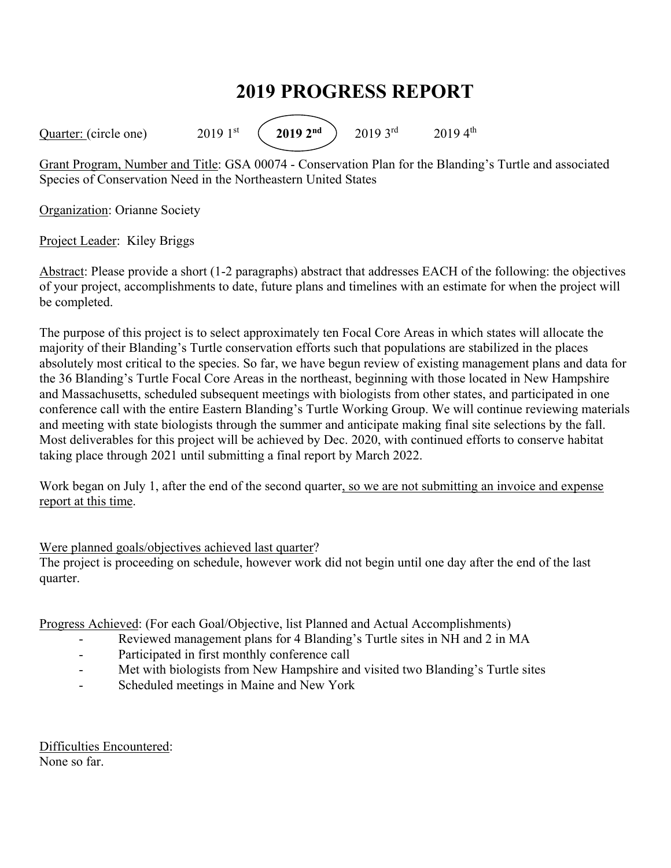## **2019 PROGRESS REPORT**

Quarter: (circle one) 2019 1<sup>st</sup> (2019 2<sup>nd</sup>) 2019 3<sup>rd</sup> 2019 4<sup>th</sup>

Grant Program, Number and Title: GSA 00074 - Conservation Plan for the Blanding's Turtle and associated Species of Conservation Need in the Northeastern United States

Organization: Orianne Society

Project Leader: Kiley Briggs

Abstract: Please provide a short (1-2 paragraphs) abstract that addresses EACH of the following: the objectives of your project, accomplishments to date, future plans and timelines with an estimate for when the project will be completed.

The purpose of this project is to select approximately ten Focal Core Areas in which states will allocate the majority of their Blanding's Turtle conservation efforts such that populations are stabilized in the places absolutely most critical to the species. So far, we have begun review of existing management plans and data for the 36 Blanding's Turtle Focal Core Areas in the northeast, beginning with those located in New Hampshire and Massachusetts, scheduled subsequent meetings with biologists from other states, and participated in one conference call with the entire Eastern Blanding's Turtle Working Group. We will continue reviewing materials and meeting with state biologists through the summer and anticipate making final site selections by the fall. Most deliverables for this project will be achieved by Dec. 2020, with continued efforts to conserve habitat taking place through 2021 until submitting a final report by March 2022.

Work began on July 1, after the end of the second quarter, so we are not submitting an invoice and expense report at this time.

## Were planned goals/objectives achieved last quarter?

The project is proceeding on schedule, however work did not begin until one day after the end of the last quarter.

Progress Achieved: (For each Goal/Objective, list Planned and Actual Accomplishments)

- Reviewed management plans for 4 Blanding's Turtle sites in NH and 2 in MA
- Participated in first monthly conference call
- Met with biologists from New Hampshire and visited two Blanding's Turtle sites
- Scheduled meetings in Maine and New York

Difficulties Encountered: None so far.